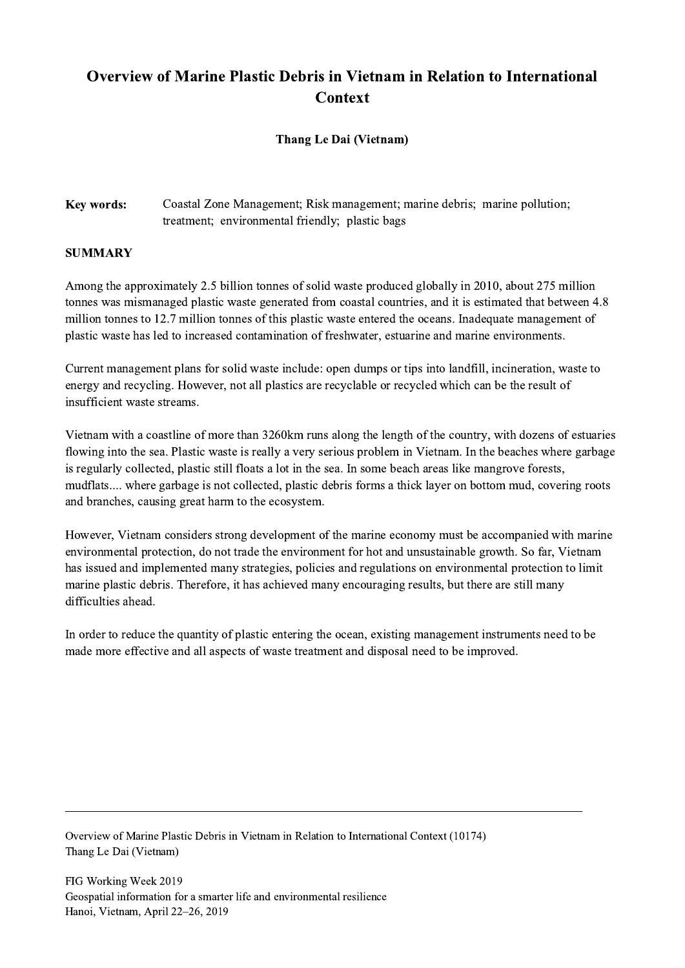## Overview of Marine Plastic Debris in Vietnam in Relation to International **Context**

## Thang Le Dai (Vietnam)

## Key words: Coastal Zone Management; Risk management; marine debris; marine pollution; treatment; environmental friendly; plastic bags

## **SUMMARY**

Among the approximately 2.5 billion tonnes of solid waste produced globally in 2010, about 275 million tonnes was mismanaged plastic waste generated from coastal countries, and it is estimated that between 4.8 million tonnes to 12.7 million tonnes of this plastic waste entered the oceans. Inadequate management of plastic waste has led to increased contamination of freshwater, estuarine and marine environments.

Current management plans for solid waste include: open dumps or tips into landfill, incineration, waste to energy and recycling. However, not all plastics are recyclable or recycled which can be the result of insufficient waste streams.

Vietnam with a coastline of more than 3260km runs along the length of the country, with dozens of estuaries flowing into the sea. Plastic waste is really a very serious problem in Vietnam. In the beaches where garbage is regularly collected, plastic still floats a lot in the sea. In some beach areas like mangrove forests, mudflats.... where garbage is not collected, plastic debris forms a thick layer on bottom mud, covering roots and branches, causing great harm to the ecosystem.

However, Vietnam considers strong development of the marine economy must be accompanied with marine environmental protection, do not trade the environment for hot and unsustainable growth. So far, Vietnam has issued and implemented many strategies, policies and regulations on environmental protection to limit marine plastic debris. Therefore, it has achieved many encouraging results, but there are still many difficulties ahead.

In order to reduce the quantity of plastic entering the ocean, existing management instruments need to be made more effective and all aspects of waste treatment and disposal need to be improved.

 $\mathcal{L}_\mathcal{L} = \{ \mathcal{L}_\mathcal{L} = \{ \mathcal{L}_\mathcal{L} = \{ \mathcal{L}_\mathcal{L} = \{ \mathcal{L}_\mathcal{L} = \{ \mathcal{L}_\mathcal{L} = \{ \mathcal{L}_\mathcal{L} = \{ \mathcal{L}_\mathcal{L} = \{ \mathcal{L}_\mathcal{L} = \{ \mathcal{L}_\mathcal{L} = \{ \mathcal{L}_\mathcal{L} = \{ \mathcal{L}_\mathcal{L} = \{ \mathcal{L}_\mathcal{L} = \{ \mathcal{L}_\mathcal{L} = \{ \mathcal{L}_\mathcal{$ 

Overview of Marine Plastic Debris in Vietnam in Relation to International Context (10174) Thang Le Dai (Vietnam)

FIG Working Week 2019 Geospatial information for a smarter life and environmental resilience Hanoi, Vietnam, April 22–26, 2019